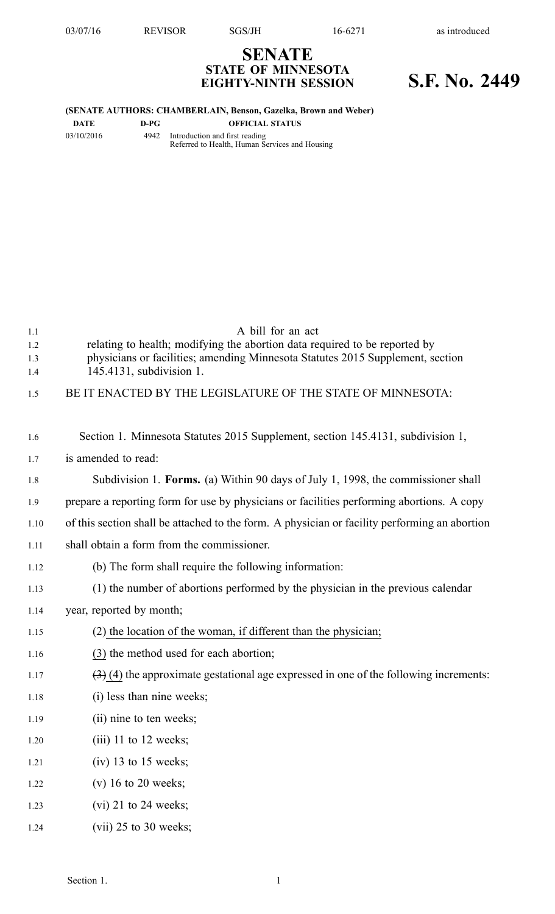## **SENATE STATE OF MINNESOTA EIGHTY-NINTH SESSION S.F. No. 2449**

## **(SENATE AUTHORS: CHAMBERLAIN, Benson, Gazelka, Brown and Weber)**

**DATE D-PG OFFICIAL STATUS**

03/10/2016 4942 Introduction and first reading Referred to Health, Human Services and Housing

| 1.1  | A bill for an act                                                                             |
|------|-----------------------------------------------------------------------------------------------|
| 1.2  | relating to health; modifying the abortion data required to be reported by                    |
| 1.3  | physicians or facilities; amending Minnesota Statutes 2015 Supplement, section                |
| 1.4  | 145.4131, subdivision 1.                                                                      |
| 1.5  | BE IT ENACTED BY THE LEGISLATURE OF THE STATE OF MINNESOTA:                                   |
|      |                                                                                               |
| 1.6  | Section 1. Minnesota Statutes 2015 Supplement, section 145.4131, subdivision 1,               |
| 1.7  | is amended to read:                                                                           |
| 1.8  | Subdivision 1. Forms. (a) Within 90 days of July 1, 1998, the commissioner shall              |
| 1.9  | prepare a reporting form for use by physicians or facilities performing abortions. A copy     |
| 1.10 | of this section shall be attached to the form. A physician or facility performing an abortion |
| 1.11 | shall obtain a form from the commissioner.                                                    |
| 1.12 | (b) The form shall require the following information:                                         |
| 1.13 | (1) the number of abortions performed by the physician in the previous calendar               |
| 1.14 | year, reported by month;                                                                      |
| 1.15 | (2) the location of the woman, if different than the physician;                               |
| 1.16 | (3) the method used for each abortion;                                                        |
| 1.17 | $(3)$ (4) the approximate gestational age expressed in one of the following increments:       |
| 1.18 | (i) less than nine weeks;                                                                     |
| 1.19 | (ii) nine to ten weeks;                                                                       |
| 1.20 | $(iii)$ 11 to 12 weeks;                                                                       |
| 1.21 | $(iv)$ 13 to 15 weeks;                                                                        |
| 1.22 | $(v)$ 16 to 20 weeks;                                                                         |
| 1.23 | $(vi)$ 21 to 24 weeks;                                                                        |
| 1.24 | $(vii)$ 25 to 30 weeks;                                                                       |